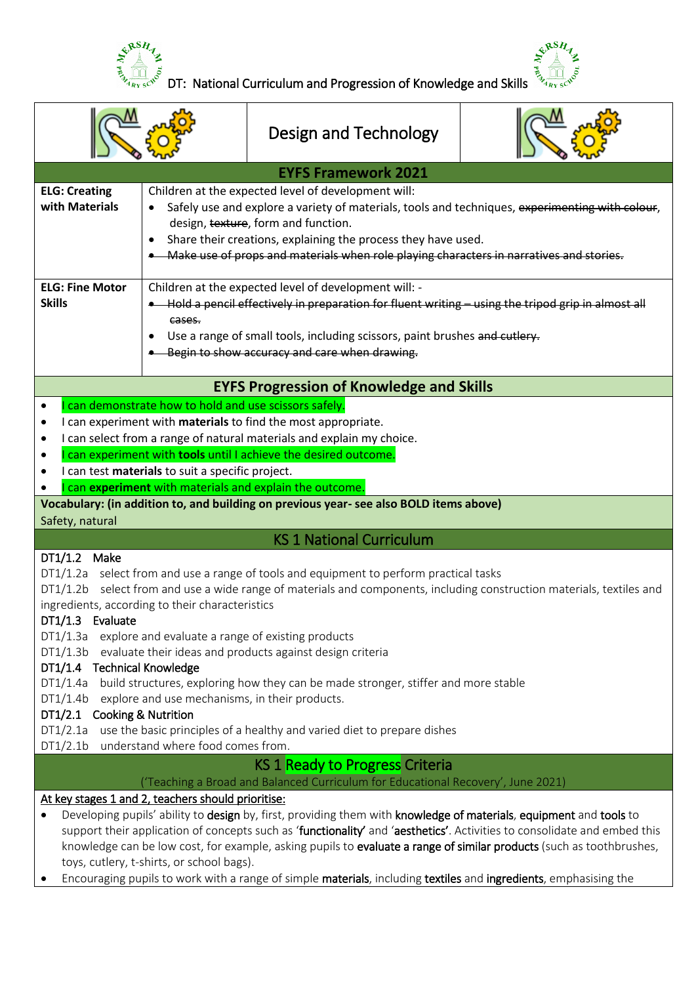



|                                                                                                                                                                                                               |                                                                                                        | Design and Technology                                                                                                                                                                                                                                                                                                                                                                                                                                                                      |  |
|---------------------------------------------------------------------------------------------------------------------------------------------------------------------------------------------------------------|--------------------------------------------------------------------------------------------------------|--------------------------------------------------------------------------------------------------------------------------------------------------------------------------------------------------------------------------------------------------------------------------------------------------------------------------------------------------------------------------------------------------------------------------------------------------------------------------------------------|--|
|                                                                                                                                                                                                               |                                                                                                        | <b>EYFS Framework 2021</b>                                                                                                                                                                                                                                                                                                                                                                                                                                                                 |  |
| <b>ELG: Creating</b><br>with Materials                                                                                                                                                                        | $\bullet$<br>$\bullet$                                                                                 | Children at the expected level of development will:<br>Safely use and explore a variety of materials, tools and techniques, experimenting with colour,<br>design, texture, form and function.<br>Share their creations, explaining the process they have used.<br>Make use of props and materials when role playing characters in narratives and stories.                                                                                                                                  |  |
| <b>ELG: Fine Motor</b><br><b>Skills</b>                                                                                                                                                                       | cases.                                                                                                 | Children at the expected level of development will: -<br>Hold a pencil effectively in preparation for fluent writing - using the tripod grip in almost all<br>Use a range of small tools, including scissors, paint brushes and cutlery.<br>-Begin to show accuracy and care when drawing.                                                                                                                                                                                                 |  |
|                                                                                                                                                                                                               |                                                                                                        | <b>EYFS Progression of Knowledge and Skills</b>                                                                                                                                                                                                                                                                                                                                                                                                                                            |  |
|                                                                                                                                                                                                               | can demonstrate how to hold and use scissors safely.<br>can test materials to suit a specific project. | I can experiment with materials to find the most appropriate.<br>I can select from a range of natural materials and explain my choice.<br>can experiment with tools until I achieve the desired outcome.<br>can experiment with materials and explain the outcome.                                                                                                                                                                                                                         |  |
| Safety, natural                                                                                                                                                                                               |                                                                                                        | Vocabulary: (in addition to, and building on previous year- see also BOLD items above)                                                                                                                                                                                                                                                                                                                                                                                                     |  |
|                                                                                                                                                                                                               |                                                                                                        | <b>KS 1 National Curriculum</b>                                                                                                                                                                                                                                                                                                                                                                                                                                                            |  |
| DT1/1.2 Make<br>DT1/1.3 Evaluate                                                                                                                                                                              | ingredients, according to their characteristics                                                        | DT1/1.2a select from and use a range of tools and equipment to perform practical tasks<br>DT1/1.2b select from and use a wide range of materials and components, including construction materials, textiles and                                                                                                                                                                                                                                                                            |  |
| DT1/1.3b<br>DT1/1.4 Technical Knowledge<br>DT1/1.4a<br>DT1/1.4b                                                                                                                                               | explore and use mechanisms, in their products.                                                         | DT1/1.3a explore and evaluate a range of existing products<br>evaluate their ideas and products against design criteria<br>build structures, exploring how they can be made stronger, stiffer and more stable                                                                                                                                                                                                                                                                              |  |
| DT1/2.1 Cooking & Nutrition<br>DT1/2.1a<br>use the basic principles of a healthy and varied diet to prepare dishes<br>DT1/2.1b<br>understand where food comes from.<br><b>KS 1 Ready to Progress Criteria</b> |                                                                                                        |                                                                                                                                                                                                                                                                                                                                                                                                                                                                                            |  |
| 'Teaching a Broad and Balanced Curriculum for Educational Recovery', June 2021)                                                                                                                               |                                                                                                        |                                                                                                                                                                                                                                                                                                                                                                                                                                                                                            |  |
|                                                                                                                                                                                                               | At key stages 1 and 2, teachers should prioritise:<br>toys, cutlery, t-shirts, or school bags).        | Developing pupils' ability to design by, first, providing them with knowledge of materials, equipment and tools to<br>support their application of concepts such as 'functionality' and 'aesthetics'. Activities to consolidate and embed this<br>knowledge can be low cost, for example, asking pupils to evaluate a range of similar products (such as toothbrushes,<br>Encouraging pupils to work with a range of simple materials, including textiles and ingredients, emphasising the |  |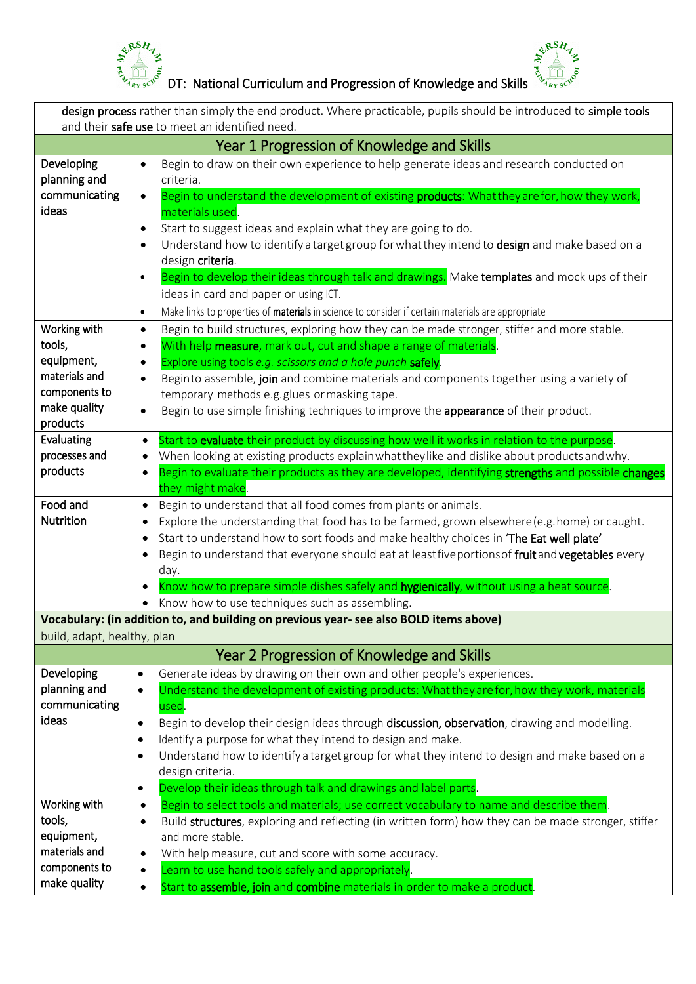

 $\frac{1}{2}$   $\frac{1}{2}$   $\frac{1}{2}$   $\frac{1}{2}$   $\frac{1}{2}$   $\frac{1}{2}$   $\frac{1}{2}$   $\frac{1}{2}$   $\frac{1}{2}$   $\frac{1}{2}$   $\frac{1}{2}$   $\frac{1}{2}$   $\frac{1}{2}$   $\frac{1}{2}$   $\frac{1}{2}$   $\frac{1}{2}$   $\frac{1}{2}$   $\frac{1}{2}$   $\frac{1}{2}$   $\frac{1}{2}$   $\frac{1}{2}$   $\frac{1}{2}$ 



| design process rather than simply the end product. Where practicable, pupils should be introduced to simple tools<br>and their safe use to meet an identified need. |                                                                                                                                                                                                                                                                                                                                                                                                                                                                                                                                           |
|---------------------------------------------------------------------------------------------------------------------------------------------------------------------|-------------------------------------------------------------------------------------------------------------------------------------------------------------------------------------------------------------------------------------------------------------------------------------------------------------------------------------------------------------------------------------------------------------------------------------------------------------------------------------------------------------------------------------------|
|                                                                                                                                                                     | Year 1 Progression of Knowledge and Skills                                                                                                                                                                                                                                                                                                                                                                                                                                                                                                |
| Developing<br>planning and<br>communicating<br>ideas                                                                                                                | Begin to draw on their own experience to help generate ideas and research conducted on<br>$\bullet$<br>criteria.<br>Begin to understand the development of existing products: What they are for, how they work,<br>$\bullet$<br>materials used.<br>Start to suggest ideas and explain what they are going to do.<br>$\bullet$                                                                                                                                                                                                             |
|                                                                                                                                                                     | Understand how to identify a target group for what they intend to design and make based on a<br>$\bullet$<br>design criteria.<br>Begin to develop their ideas through talk and drawings. Make templates and mock ups of their<br>$\bullet$<br>ideas in card and paper or using ICT.<br>Make links to properties of materials in science to consider if certain materials are appropriate<br>$\bullet$                                                                                                                                     |
| Working with<br>tools,<br>equipment,<br>materials and<br>components to<br>make quality<br>products                                                                  | Begin to build structures, exploring how they can be made stronger, stiffer and more stable.<br>$\bullet$<br>With help measure, mark out, cut and shape a range of materials.<br>$\bullet$<br>Explore using tools e.g. scissors and a hole punch safely.<br>$\bullet$<br>Beginto assemble, join and combine materials and components together using a variety of<br>$\bullet$<br>temporary methods e.g. glues or masking tape.<br>Begin to use simple finishing techniques to improve the appearance of their product.<br>$\bullet$       |
| Evaluating<br>processes and<br>products                                                                                                                             | Start to evaluate their product by discussing how well it works in relation to the purpose.<br>$\bullet$<br>When looking at existing products explain what they like and dislike about products and why.<br>٠<br>Begin to evaluate their products as they are developed, identifying strengths and possible changes<br>٠<br>they might make.                                                                                                                                                                                              |
| Food and<br><b>Nutrition</b>                                                                                                                                        | Begin to understand that all food comes from plants or animals.<br>$\bullet$<br>Explore the understanding that food has to be farmed, grown elsewhere (e.g. home) or caught.<br>Start to understand how to sort foods and make healthy choices in 'The Eat well plate'<br>٠<br>Begin to understand that everyone should eat at leastfive portions of fruit and vegetables every<br>٠<br>day.<br>Know how to prepare simple dishes safely and hygienically, without using a heat source.<br>Know how to use techniques such as assembling. |
| build, adapt, healthy, plan                                                                                                                                         | Vocabulary: (in addition to, and building on previous year- see also BOLD items above)                                                                                                                                                                                                                                                                                                                                                                                                                                                    |
|                                                                                                                                                                     | Year 2 Progression of Knowledge and Skills                                                                                                                                                                                                                                                                                                                                                                                                                                                                                                |
| Developing<br>planning and<br>communicating<br>ideas                                                                                                                | Generate ideas by drawing on their own and other people's experiences.<br>$\bullet$<br>Understand the development of existing products: What they are for, how they work, materials<br>$\bullet$<br>used.<br>Begin to develop their design ideas through discussion, observation, drawing and modelling.<br>$\bullet$<br>Identify a purpose for what they intend to design and make.<br>$\bullet$<br>Understand how to identify a target group for what they intend to design and make based on a<br>$\bullet$                            |
|                                                                                                                                                                     | design criteria.<br>Develop their ideas through talk and drawings and label parts.<br>$\bullet$                                                                                                                                                                                                                                                                                                                                                                                                                                           |
| Working with<br>tools,<br>equipment,<br>materials and<br>components to<br>make quality                                                                              | Begin to select tools and materials; use correct vocabulary to name and describe them.<br>$\bullet$<br>Build structures, exploring and reflecting (in written form) how they can be made stronger, stiffer<br>٠<br>and more stable.<br>With help measure, cut and score with some accuracy.<br>٠<br>Learn to use hand tools safely and appropriately.<br>$\bullet$<br>Start to assemble, join and combine materials in order to make a product.<br>$\bullet$                                                                              |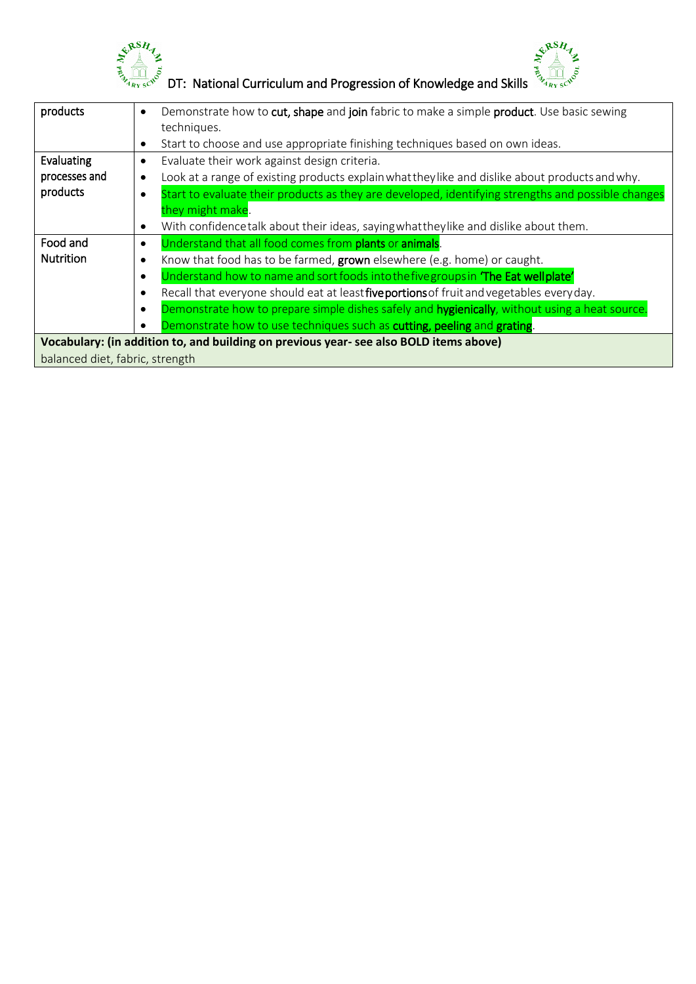



 $\begin{bmatrix} \xi^{\beta} & \xi^{\beta} & \xi^{\beta} \xi^{\gamma} \xi^{\gamma} \xi^{\gamma} \xi^{\gamma} \xi^{\gamma} \xi^{\gamma} \xi^{\gamma} \xi^{\gamma} \xi^{\gamma} \xi^{\gamma} \xi^{\gamma} \xi^{\gamma} \xi^{\gamma} \xi^{\gamma} \xi^{\gamma} \xi^{\gamma} \xi^{\gamma} \xi^{\gamma} \xi^{\gamma} \xi^{\gamma} \xi^{\gamma} \xi^{\gamma} \xi^{\gamma} \xi^{\gamma} \xi^{\gamma} \xi^{\gamma} \xi^{\gamma} \xi^{\gamma} \xi^{\gamma} \xi^{\gamma} \xi^{\gamma} \xi^{\gamma} \xi$ 

| products         | Demonstrate how to cut, shape and join fabric to make a simple product. Use basic sewing<br>$\bullet$   |
|------------------|---------------------------------------------------------------------------------------------------------|
|                  | techniques.                                                                                             |
|                  | Start to choose and use appropriate finishing techniques based on own ideas.<br>٠                       |
| Evaluating       | Evaluate their work against design criteria.<br>$\bullet$                                               |
| processes and    | Look at a range of existing products explain what they like and dislike about products and why.         |
| products         | Start to evaluate their products as they are developed, identifying strengths and possible changes      |
|                  | they might make.                                                                                        |
|                  | With confidencetalk about their ideas, saying what they like and dislike about them.<br>٠               |
| Food and         | Understand that all food comes from plants or animals.<br>$\bullet$                                     |
| <b>Nutrition</b> | Know that food has to be farmed, grown elsewhere (e.g. home) or caught.<br>c                            |
|                  | Understand how to name and sort foods into the five groups in 'The Eat well plate'<br>٠                 |
|                  | Recall that everyone should eat at least five portions of fruit and vegetables every day.<br>$\epsilon$ |
|                  | Demonstrate how to prepare simple dishes safely and hygienically, without using a heat source.<br>٠     |
|                  | Demonstrate how to use techniques such as cutting, peeling and grating.                                 |
|                  | Vocabulary: (in addition to, and building on previous year- see also BOLD items above)                  |
|                  |                                                                                                         |

balanced diet, fabric, strength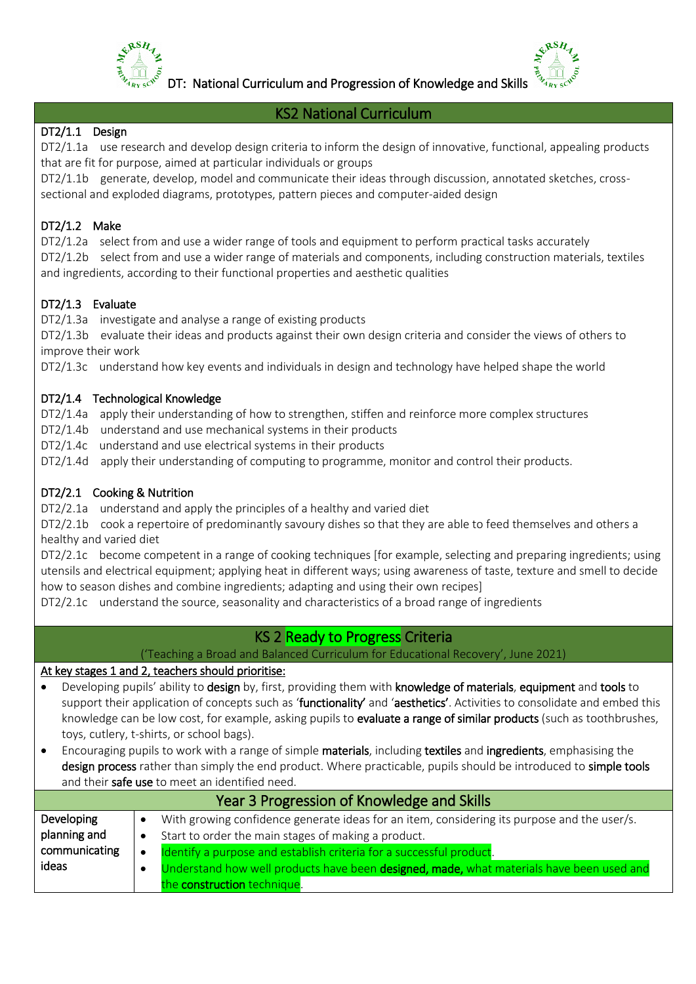

DT: National Curriculum and Progression of Knowledge and Skills



#### KS2 National Curriculum

### DT2/1.1 Design

DT2/1.1a use research and develop design criteria to inform the design of innovative, functional, appealing products that are fit for purpose, aimed at particular individuals or groups

DT2/1.1b generate, develop, model and communicate their ideas through discussion, annotated sketches, crosssectional and exploded diagrams, prototypes, pattern pieces and computer-aided design

# DT2/1.2 Make

DT2/1.2a select from and use a wider range of tools and equipment to perform practical tasks accurately DT2/1.2b select from and use a wider range of materials and components, including construction materials, textiles and ingredients, according to their functional properties and aesthetic qualities

# DT2/1.3 Evaluate

DT2/1.3a investigate and analyse a range of existing products

DT2/1.3b evaluate their ideas and products against their own design criteria and consider the views of others to improve their work

DT2/1.3c understand how key events and individuals in design and technology have helped shape the world

#### DT2/1.4 Technological Knowledge

DT2/1.4a apply their understanding of how to strengthen, stiffen and reinforce more complex structures

- DT2/1.4b understand and use mechanical systems in their products
- DT2/1.4c understand and use electrical systems in their products
- DT2/1.4d apply their understanding of computing to programme, monitor and control their products.

#### DT2/2.1 Cooking & Nutrition

DT2/2.1a understand and apply the principles of a healthy and varied diet

DT2/2.1b cook a repertoire of predominantly savoury dishes so that they are able to feed themselves and others a healthy and varied diet

DT2/2.1c become competent in a range of cooking techniques [for example, selecting and preparing ingredients; using utensils and electrical equipment; applying heat in different ways; using awareness of taste, texture and smell to decide how to season dishes and combine ingredients; adapting and using their own recipes]

DT2/2.1c understand the source, seasonality and characteristics of a broad range of ingredients

# KS 2 Ready to Progress Criteria

('Teaching a Broad and Balanced Curriculum for Educational Recovery', June 2021)

#### At key stages 1 and 2, teachers should prioritise:

- Developing pupils' ability to design by, first, providing them with knowledge of materials, equipment and tools to support their application of concepts such as 'functionality' and 'aesthetics'. Activities to consolidate and embed this knowledge can be low cost, for example, asking pupils to evaluate a range of similar products (such as toothbrushes, toys, cutlery, t-shirts, or school bags).
- Encouraging pupils to work with a range of simple materials, including textiles and ingredients, emphasising the design process rather than simply the end product. Where practicable, pupils should be introduced to simple tools and their safe use to meet an identified need.

| Year 3 Progression of Knowledge and Skills |                                                                                             |  |
|--------------------------------------------|---------------------------------------------------------------------------------------------|--|
| Developing                                 | With growing confidence generate ideas for an item, considering its purpose and the user/s. |  |
| planning and                               | Start to order the main stages of making a product.                                         |  |
| communicating                              | Identify a purpose and establish criteria for a successful product.                         |  |
| ideas                                      | Understand how well products have been designed, made, what materials have been used and    |  |
|                                            | the construction technique.                                                                 |  |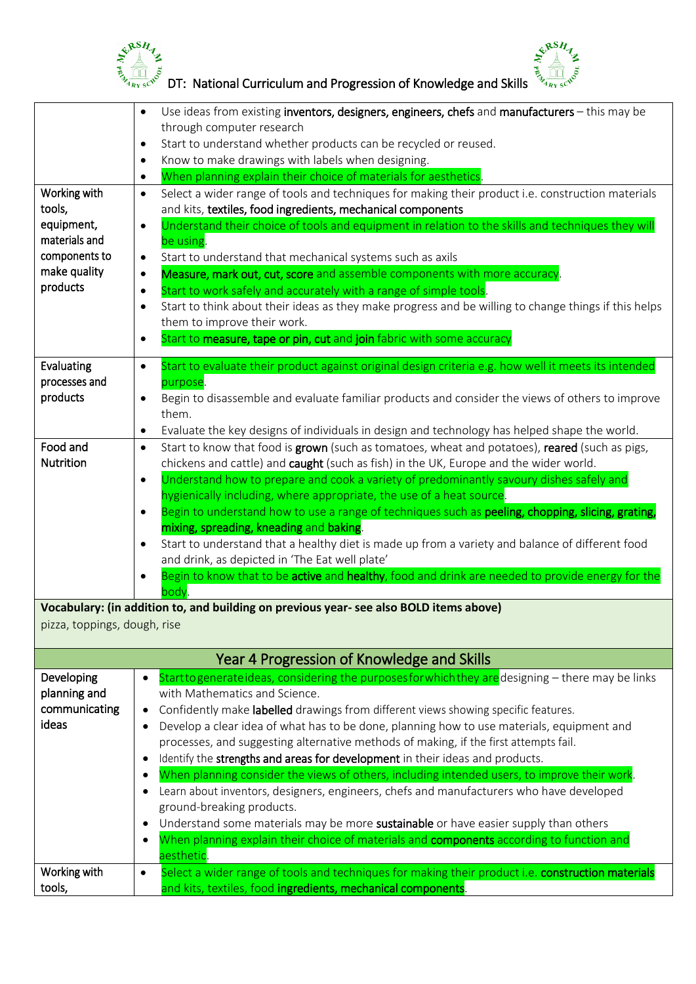



 $\frac{1}{2}$   $\frac{1}{2}$   $\frac{1}{2}$   $\frac{1}{2}$   $\frac{1}{2}$   $\frac{1}{2}$   $\frac{1}{2}$   $\frac{1}{2}$   $\frac{1}{2}$   $\frac{1}{2}$   $\frac{1}{2}$   $\frac{1}{2}$   $\frac{1}{2}$   $\frac{1}{2}$   $\frac{1}{2}$   $\frac{1}{2}$   $\frac{1}{2}$   $\frac{1}{2}$   $\frac{1}{2}$   $\frac{1}{2}$   $\frac{1}{2}$   $\frac{1}{2}$ 

|                              | Use ideas from existing inventors, designers, engineers, chefs and manufacturers - this may be<br>$\bullet$                                                                                          |
|------------------------------|------------------------------------------------------------------------------------------------------------------------------------------------------------------------------------------------------|
|                              | through computer research                                                                                                                                                                            |
|                              | Start to understand whether products can be recycled or reused.<br>$\bullet$                                                                                                                         |
|                              | Know to make drawings with labels when designing.<br>When planning explain their choice of materials for aesthetics.                                                                                 |
| Working with                 | ٠<br>Select a wider range of tools and techniques for making their product i.e. construction materials<br>$\bullet$                                                                                  |
| tools,                       | and kits, textiles, food ingredients, mechanical components                                                                                                                                          |
| equipment,                   | Understand their choice of tools and equipment in relation to the skills and techniques they will<br>$\bullet$                                                                                       |
| materials and                | be using.                                                                                                                                                                                            |
| components to                | Start to understand that mechanical systems such as axils<br>$\bullet$                                                                                                                               |
| make quality                 | Measure, mark out, cut, score and assemble components with more accuracy.                                                                                                                            |
| products                     | Start to work safely and accurately with a range of simple tools.<br>٠                                                                                                                               |
|                              | Start to think about their ideas as they make progress and be willing to change things if this helps                                                                                                 |
|                              | them to improve their work.                                                                                                                                                                          |
|                              | Start to measure, tape or pin, cut and join fabric with some accuracy                                                                                                                                |
| Evaluating                   | Start to evaluate their product against original design criteria e.g. how well it meets its intended<br>$\bullet$                                                                                    |
| processes and                | purpose.                                                                                                                                                                                             |
| products                     | Begin to disassemble and evaluate familiar products and consider the views of others to improve<br>$\bullet$                                                                                         |
|                              | them.                                                                                                                                                                                                |
|                              | Evaluate the key designs of individuals in design and technology has helped shape the world.<br>٠                                                                                                    |
| Food and<br>Nutrition        | Start to know that food is grown (such as tomatoes, wheat and potatoes), reared (such as pigs,<br>$\bullet$<br>chickens and cattle) and caught (such as fish) in the UK, Europe and the wider world. |
|                              | Understand how to prepare and cook a variety of predominantly savoury dishes safely and<br>$\bullet$                                                                                                 |
|                              | hygienically including, where appropriate, the use of a heat source.                                                                                                                                 |
|                              | Begin to understand how to use a range of techniques such as peeling, chopping, slicing, grating,                                                                                                    |
|                              | mixing, spreading, kneading and baking.                                                                                                                                                              |
|                              | Start to understand that a healthy diet is made up from a variety and balance of different food                                                                                                      |
|                              | and drink, as depicted in 'The Eat well plate'                                                                                                                                                       |
|                              | Begin to know that to be active and healthy, food and drink are needed to provide energy for the<br>body.                                                                                            |
|                              | Vocabulary: (in addition to, and building on previous year- see also BOLD items above)                                                                                                               |
| pizza, toppings, dough, rise |                                                                                                                                                                                                      |
|                              |                                                                                                                                                                                                      |
|                              | Year 4 Progression of Knowledge and Skills                                                                                                                                                           |
| Developing<br>planning and   | Start to generate ideas, considering the purposes for which they are designing - there may be links<br>$\bullet$<br>with Mathematics and Science.                                                    |
| communicating                | Confidently make labelled drawings from different views showing specific features.                                                                                                                   |
| ideas                        | Develop a clear idea of what has to be done, planning how to use materials, equipment and                                                                                                            |
|                              | processes, and suggesting alternative methods of making, if the first attempts fail.                                                                                                                 |
|                              | Identify the strengths and areas for development in their ideas and products.                                                                                                                        |
|                              | When planning consider the views of others, including intended users, to improve their work.                                                                                                         |
|                              | Learn about inventors, designers, engineers, chefs and manufacturers who have developed                                                                                                              |
|                              | ground-breaking products.                                                                                                                                                                            |
|                              | Understand some materials may be more sustainable or have easier supply than others                                                                                                                  |
|                              | When planning explain their choice of materials and components according to function and<br>$\bullet$                                                                                                |
|                              | aesthetic.                                                                                                                                                                                           |
| Working with<br>tools,       | Select a wider range of tools and techniques for making their product i.e. construction materials<br>$\bullet$<br>and kits, textiles, food ingredients, mechanical components.                       |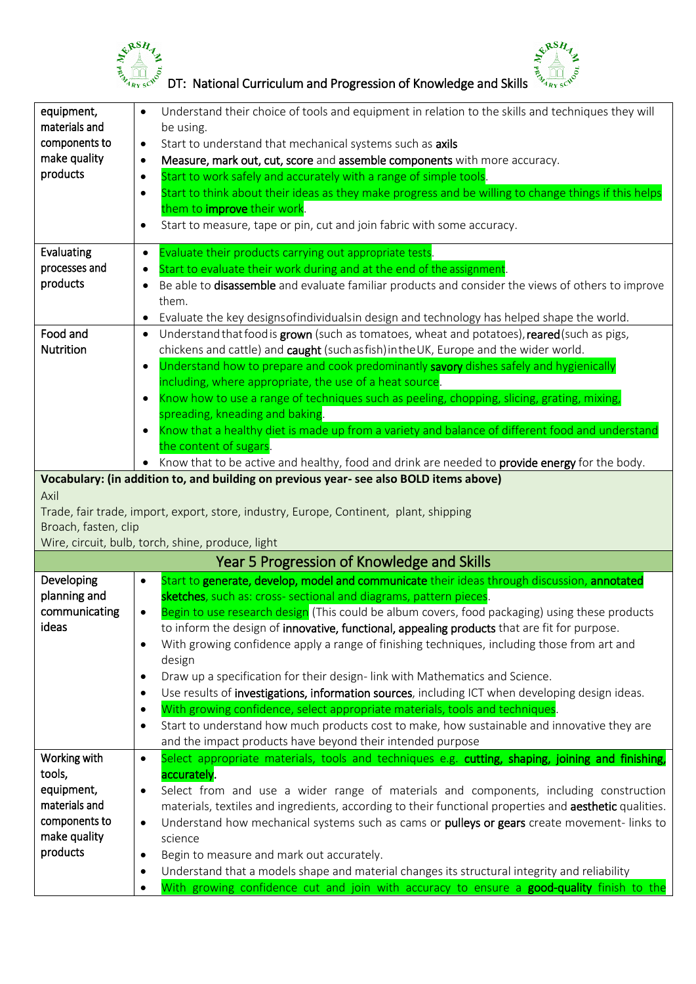



|                                | Understand their choice of tools and equipment in relation to the skills and techniques they will                                  |
|--------------------------------|------------------------------------------------------------------------------------------------------------------------------------|
| materials and                  | be using.                                                                                                                          |
| components to<br>make quality  | Start to understand that mechanical systems such as axils<br>$\bullet$                                                             |
| products                       | Measure, mark out, cut, score and assemble components with more accuracy.<br>$\bullet$                                             |
|                                | Start to work safely and accurately with a range of simple tools.<br>$\bullet$                                                     |
|                                | Start to think about their ideas as they make progress and be willing to change things if this helps<br>$\bullet$                  |
|                                | them to <i>improve</i> their work.<br>Start to measure, tape or pin, cut and join fabric with some accuracy.<br>$\bullet$          |
|                                |                                                                                                                                    |
| Evaluating                     | Evaluate their products carrying out appropriate tests.<br>$\bullet$                                                               |
| processes and                  | Start to evaluate their work during and at the end of the assignment.<br>٠                                                         |
| products                       | Be able to disassemble and evaluate familiar products and consider the views of others to improve<br>$\bullet$                     |
|                                | them.                                                                                                                              |
|                                | Evaluate the key designs of individuals in design and technology has helped shape the world.<br>٠                                  |
| Food and                       | Understand that food is grown (such as tomatoes, wheat and potatoes), reared (such as pigs,<br>$\bullet$                           |
| <b>Nutrition</b>               | chickens and cattle) and caught (such as fish) in the UK, Europe and the wider world.                                              |
|                                | Understand how to prepare and cook predominantly savory dishes safely and hygienically<br>$\bullet$                                |
|                                | including, where appropriate, the use of a heat source.                                                                            |
|                                | Know how to use a range of techniques such as peeling, chopping, slicing, grating, mixing,<br>$\bullet$                            |
|                                | spreading, kneading and baking.<br>Know that a healthy diet is made up from a variety and balance of different food and understand |
|                                | the content of sugars.                                                                                                             |
|                                | Know that to be active and healthy, food and drink are needed to provide energy for the body.                                      |
|                                | Vocabulary: (in addition to, and building on previous year- see also BOLD items above)                                             |
| Axil                           |                                                                                                                                    |
|                                |                                                                                                                                    |
|                                |                                                                                                                                    |
| Broach, fasten, clip           | Trade, fair trade, import, export, store, industry, Europe, Continent, plant, shipping                                             |
|                                | Wire, circuit, bulb, torch, shine, produce, light                                                                                  |
|                                | Year 5 Progression of Knowledge and Skills                                                                                         |
| Developing                     | Start to generate, develop, model and communicate their ideas through discussion, annotated<br>$\bullet$                           |
| planning and                   | sketches, such as: cross- sectional and diagrams, pattern pieces                                                                   |
| communicating                  | Begin to use research design (This could be album covers, food packaging) using these products<br>$\bullet$                        |
| ideas                          | to inform the design of innovative, functional, appealing products that are fit for purpose                                        |
|                                | With growing confidence apply a range of finishing techniques, including those from art and<br>$\bullet$                           |
|                                | design                                                                                                                             |
|                                | Draw up a specification for their design-link with Mathematics and Science.<br>$\bullet$                                           |
|                                | Use results of investigations, information sources, including ICT when developing design ideas.<br>$\bullet$                       |
|                                | With growing confidence, select appropriate materials, tools and techniques.<br>$\bullet$                                          |
|                                | Start to understand how much products cost to make, how sustainable and innovative they are<br>$\bullet$                           |
|                                | and the impact products have beyond their intended purpose                                                                         |
| Working with                   | Select appropriate materials, tools and techniques e.g. cutting, shaping, joining and finishing,<br>$\bullet$                      |
| tools,                         | accurately.                                                                                                                        |
| equipment,                     | Select from and use a wider range of materials and components, including construction<br>$\bullet$                                 |
| materials and<br>components to | materials, textiles and ingredients, according to their functional properties and aesthetic qualities.<br>$\bullet$                |
| make quality                   | Understand how mechanical systems such as cams or pulleys or gears create movement-links to<br>science                             |
| products                       | Begin to measure and mark out accurately.<br>$\bullet$                                                                             |
|                                | Understand that a models shape and material changes its structural integrity and reliability<br>$\bullet$                          |
|                                | With growing confidence cut and join with accuracy to ensure a good-quality finish to the<br>$\bullet$                             |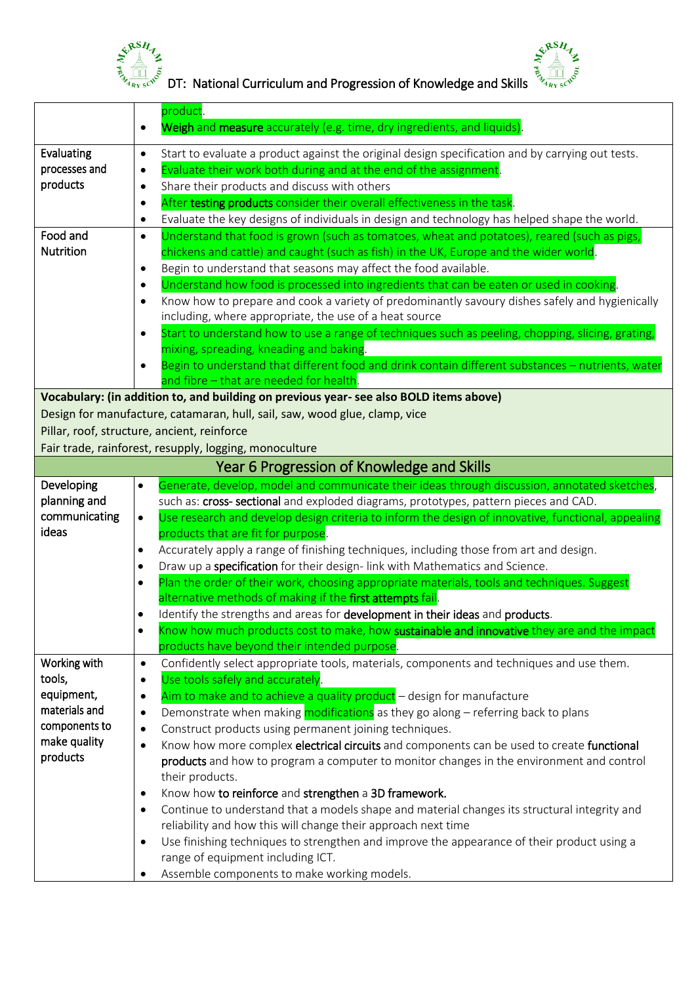



 $\frac{1}{2}$   $\frac{1}{2}$   $\frac{1}{2}$   $\frac{1}{2}$   $\frac{1}{2}$   $\frac{1}{2}$   $\frac{1}{2}$   $\frac{1}{2}$   $\frac{1}{2}$   $\frac{1}{2}$   $\frac{1}{2}$   $\frac{1}{2}$   $\frac{1}{2}$   $\frac{1}{2}$   $\frac{1}{2}$   $\frac{1}{2}$   $\frac{1}{2}$   $\frac{1}{2}$   $\frac{1}{2}$   $\frac{1}{2}$   $\frac{1}{2}$   $\frac{1}{2}$ 

|                        | product.                                                                                                                                                               |
|------------------------|------------------------------------------------------------------------------------------------------------------------------------------------------------------------|
|                        | Weigh and measure accurately (e.g. time, dry ingredients, and liquids).<br>$\bullet$                                                                                   |
| Evaluating             | Start to evaluate a product against the original design specification and by carrying out tests.<br>٠                                                                  |
| processes and          | Evaluate their work both during and at the end of the assignment.<br>٠                                                                                                 |
| products               | Share their products and discuss with others<br>$\bullet$                                                                                                              |
|                        | After testing products consider their overall effectiveness in the task                                                                                                |
|                        | Evaluate the key designs of individuals in design and technology has helped shape the world.<br>$\bullet$                                                              |
| Food and               | Understand that food is grown (such as tomatoes, wheat and potatoes), reared (such as pigs,<br>$\bullet$                                                               |
| <b>Nutrition</b>       | chickens and cattle) and caught (such as fish) in the UK, Europe and the wider world.                                                                                  |
|                        | Begin to understand that seasons may affect the food available.<br>$\bullet$                                                                                           |
|                        | Understand how food is processed into ingredients that can be eaten or used in cooking.<br>$\bullet$                                                                   |
|                        | Know how to prepare and cook a variety of predominantly savoury dishes safely and hygienically                                                                         |
|                        | including, where appropriate, the use of a heat source                                                                                                                 |
|                        | Start to understand how to use a range of techniques such as peeling, chopping, slicing, grating,                                                                      |
|                        | mixing, spreading, kneading and baking.                                                                                                                                |
|                        | Begin to understand that different food and drink contain different substances - nutrients, water                                                                      |
|                        | and fibre - that are needed for health.                                                                                                                                |
|                        | Vocabulary: (in addition to, and building on previous year- see also BOLD items above)                                                                                 |
|                        | Design for manufacture, catamaran, hull, sail, saw, wood glue, clamp, vice                                                                                             |
|                        | Pillar, roof, structure, ancient, reinforce                                                                                                                            |
|                        | Fair trade, rainforest, resupply, logging, monoculture                                                                                                                 |
|                        | Year 6 Progression of Knowledge and Skills                                                                                                                             |
| Developing             | Generate, develop, model and communicate their ideas through discussion, annotated sketches,<br>$\bullet$                                                              |
| planning and           | such as: cross- sectional and exploded diagrams, prototypes, pattern pieces and CAD.                                                                                   |
| communicating          | Use research and develop design criteria to inform the design of innovative, functional, appealing<br>$\bullet$                                                        |
| ideas                  | products that are fit for purpose.                                                                                                                                     |
|                        | Accurately apply a range of finishing techniques, including those from art and design.<br>$\bullet$                                                                    |
|                        | Draw up a specification for their design-link with Mathematics and Science.<br>$\bullet$                                                                               |
|                        | Plan the order of their work, choosing appropriate materials, tools and techniques. Suggest<br>$\bullet$                                                               |
|                        | alternative methods of making if the first attempts fail.                                                                                                              |
|                        | Identify the strengths and areas for development in their ideas and products.<br>$\bullet$                                                                             |
|                        | Know how much products cost to make, how sustainable and innovative they are and the impact                                                                            |
|                        | products have beyond their intended purpose.                                                                                                                           |
| Working with<br>tools, | Confidently select appropriate tools, materials, components and techniques and use them.<br>$\bullet$<br>Use tools safely and accurately.                              |
| equipment,             | $\bullet$                                                                                                                                                              |
| materials and          | Aim to make and to achieve a quality product - design for manufacture<br>$\bullet$<br>Demonstrate when making modifications as they go along – referring back to plans |
| components to          | ٠<br>Construct products using permanent joining techniques.                                                                                                            |
| make quality           | ٠<br>Know how more complex electrical circuits and components can be used to create functional                                                                         |
| products               | $\bullet$<br>products and how to program a computer to monitor changes in the environment and control                                                                  |
|                        | their products.                                                                                                                                                        |
|                        | Know how to reinforce and strengthen a 3D framework.<br>$\bullet$                                                                                                      |
|                        | Continue to understand that a models shape and material changes its structural integrity and                                                                           |
|                        | reliability and how this will change their approach next time                                                                                                          |
|                        | Use finishing techniques to strengthen and improve the appearance of their product using a<br>$\bullet$                                                                |
|                        | range of equipment including ICT.                                                                                                                                      |
|                        | Assemble components to make working models.                                                                                                                            |